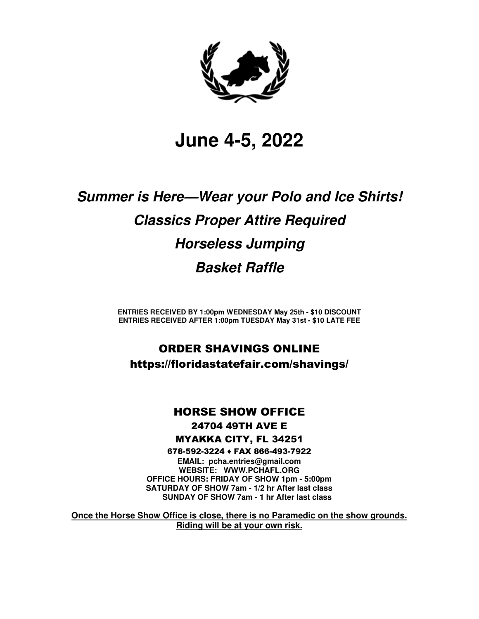

# **June 4-5, 2022**

# **Summer is Here—Wear your Polo and Ice Shirts! Classics Proper Attire Required Horseless Jumping Basket Raffle**

**ENTRIES RECEIVED BY 1:00pm WEDNESDAY May 25th - \$10 DISCOUNT ENTRIES RECEIVED AFTER 1:00pm TUESDAY May 31st - \$10 LATE FEE** 

# ORDER SHAVINGS ONLINE https://floridastatefair.com/shavings/

# HORSE SHOW OFFICE

## 24704 49TH AVE E MYAKKA CITY, FL 34251

678-592-3224 ♦ FAX 866-493-7922

**EMAIL: pcha.entries@gmail.com WEBSITE: WWW.PCHAFL.ORG OFFICE HOURS: FRIDAY OF SHOW 1pm - 5:00pm SATURDAY OF SHOW 7am - 1/2 hr After last class SUNDAY OF SHOW 7am - 1 hr After last class** 

**Once the Horse Show Office is close, there is no Paramedic on the show grounds. Riding will be at your own risk.**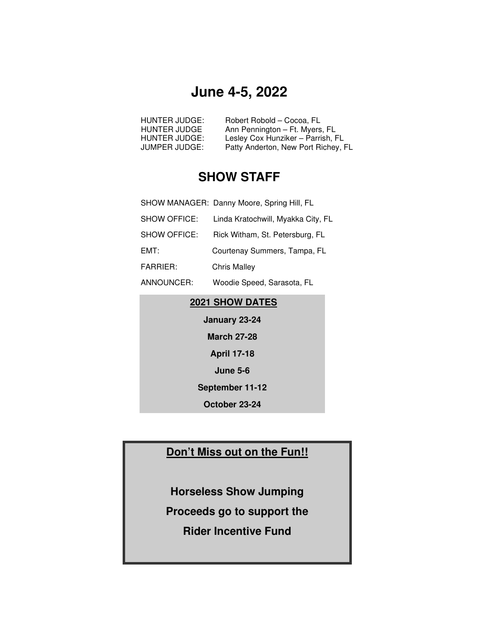# **June 4-5, 2022**

| HUNTER JUDGE: | Robert Robold – Cocoa, FL           |
|---------------|-------------------------------------|
| HUNTER JUDGE  | Ann Pennington - Ft. Myers, FL      |
| HUNTER JUDGE: | Lesley Cox Hunziker – Parrish, FL   |
| JUMPER JUDGE: | Patty Anderton, New Port Richey, FL |

# **SHOW STAFF**

|              | SHOW MANAGER: Danny Moore, Spring Hill, FL |
|--------------|--------------------------------------------|
| SHOW OFFICE: | Linda Kratochwill, Myakka City, FL         |
| SHOW OFFICE: | Rick Witham, St. Petersburg, FL            |
| EMT:         | Courtenay Summers, Tampa, FL               |
| FARRIER:     | <b>Chris Malley</b>                        |
|              |                                            |

ANNOUNCER: Woodie Speed, Sarasota, FL

## **2021 SHOW DATES**

**January 23-24 March 27-28 April 17-18 June 5-6 September 11-12** 

**October 23-24** 

# **Don't Miss out on the Fun!!**

- **Horseless Show Jumping**
- **Proceeds go to support the**

**Rider Incentive Fund**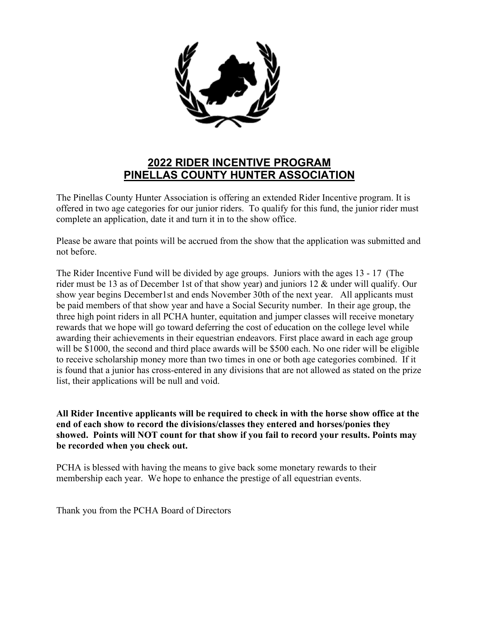

# **2022 RIDER INCENTIVE PROGRAM PINELLAS COUNTY HUNTER ASSOCIATION**

The Pinellas County Hunter Association is offering an extended Rider Incentive program. It is offered in two age categories for our junior riders. To qualify for this fund, the junior rider must complete an application, date it and turn it in to the show office.

Please be aware that points will be accrued from the show that the application was submitted and not before.

The Rider Incentive Fund will be divided by age groups. Juniors with the ages 13 - 17 (The rider must be 13 as of December 1st of that show year) and juniors 12 & under will qualify. Our show year begins December1st and ends November 30th of the next year. All applicants must be paid members of that show year and have a Social Security number. In their age group, the three high point riders in all PCHA hunter, equitation and jumper classes will receive monetary rewards that we hope will go toward deferring the cost of education on the college level while awarding their achievements in their equestrian endeavors. First place award in each age group will be \$1000, the second and third place awards will be \$500 each. No one rider will be eligible to receive scholarship money more than two times in one or both age categories combined. If it is found that a junior has cross-entered in any divisions that are not allowed as stated on the prize list, their applications will be null and void.

**All Rider Incentive applicants will be required to check in with the horse show office at the end of each show to record the divisions/classes they entered and horses/ponies they showed. Points will NOT count for that show if you fail to record your results. Points may be recorded when you check out.**

PCHA is blessed with having the means to give back some monetary rewards to their membership each year. We hope to enhance the prestige of all equestrian events.

Thank you from the PCHA Board of Directors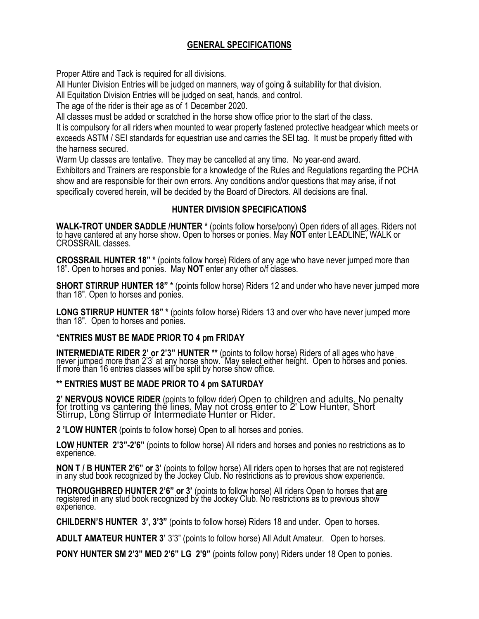### **GENERAL SPECIFICATIONS**

Proper Attire and Tack is required for all divisions.

All Hunter Division Entries will be judged on manners, way of going & suitability for that division.

All Equitation Division Entries will be judged on seat, hands, and control.

The age of the rider is their age as of 1 December 2020.

All classes must be added or scratched in the horse show office prior to the start of the class.

It is compulsory for all riders when mounted to wear properly fastened protective headgear which meets or exceeds ASTM / SEI standards for equestrian use and carries the SEI tag. It must be properly fitted with the harness secured.

Warm Up classes are tentative. They may be cancelled at any time. No year-end award. Exhibitors and Trainers are responsible for a knowledge of the Rules and Regulations regarding the PCHA

show and are responsible for their own errors. Any conditions and/or questions that may arise, if not specifically covered herein, will be decided by the Board of Directors. All decisions are final.

#### **HUNTER DIVISION SPECIFICATIONS**

 **WALK-TROT UNDER SADDLE /HUNTER \*** (points follow horse/pony) Open riders of all ages. Riders not to have cantered at any horse show. Open to horses or ponies. May **NOT** enter LEADLINE, WALK or CROSSRAIL classes.

**CROSSRAIL HUNTER 18" \*** (points follow horse) Riders of any age who have never jumped more than 18". Open to horses and ponies. May **NOT** enter any other o/f classes.

**SHORT STIRRUP HUNTER 18"** \* (points follow horse) Riders 12 and under who have never jumped more than 18". Open to horses and ponies.

**LONG STIRRUP HUNTER 18" \*** (points follow horse) Riders 13 and over who have never jumped more than 18". Open to horses and ponies.

#### \***ENTRIES MUST BE MADE PRIOR TO 4 pm FRIDAY**

**INTERMEDIATE RIDER 2' or 2'3" HUNTER \*\*** (points to follow horse) Riders of all ages who have never jumped more than 2'3' at any horse show. May select either height. Open to horses and ponies. If more than 16 entries classes will be split by horse show office.

#### **\*\* ENTRIES MUST BE MADE PRIOR TO 4 pm SATURDAY**

2' **NERVOUS NOVICE RIDER** (points to follow rider) Open to children and adults. No penalty for trotting vs cantering the lines. May not cross enter to 2' Low Hunter, Short Stirrup, Long Stirrup or Intermediate Hunter or Rider.

**2 'LOW HUNTER** (points to follow horse) Open to all horses and ponies.

**LOW HUNTER 2'3"-2'6"** (points to follow horse) All riders and horses and ponies no restrictions as to experience.

**NON T / B HUNTER 2'6" or 3'** (points to follow horse) All riders open to horses that are not registered in any stud book recognized by the Jockey Club. No réstrictions as to previous show experience.

**THOROUGHBRED HUNTER 2'6" or 3'** (points to follow horse) All riders Open to horses that **are**  registered in any stud book recognized by the Jockey Club. No restrictions as to previous show experience.

**CHILDERN'S HUNTER 3', 3'3"** (points to follow horse) Riders 18 and under. Open to horses.

**ADULT AMATEUR HUNTER 3'** 3'3" (points to follow horse) All Adult Amateur. Open to horses.

**PONY HUNTER SM 2'3" MED 2'6" LG 2'9"** (points follow pony) Riders under 18 Open to ponies.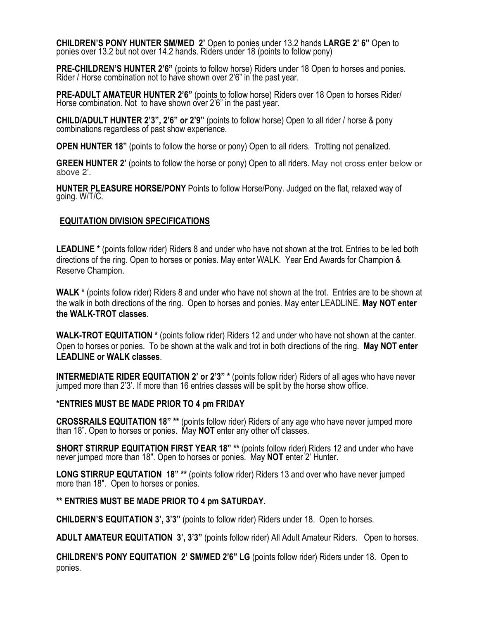**CHILDREN'S PONY HUNTER SM/MED 2'** Open to ponies under 13.2 hands **LARGE 2' 6"** Open to ponies over 13.2 but not over 14.2 hands. Riders under 18 (points to follow pony)

**PRE-CHILDREN'S HUNTER 2'6"** (points to follow horse) Riders under 18 Open to horses and ponies. Rider / Horse combination not to have shown over 2'6" in the past year.

**PRE-ADULT AMATEUR HUNTER 2'6"** (points to follow horse) Riders over 18 Open to horses Rider/ Horse combination. Not to have shown over 2'6" in the past year.

**CHILD/ADULT HUNTER 2'3", 2'6" or 2'9"** (points to follow horse) Open to all rider / horse & pony combinations regardless of past show experience.

**OPEN HUNTER 18"** (points to follow the horse or pony) Open to all riders. Trotting not penalized.

**GREEN HUNTER 2'** (points to follow the horse or pony) Open to all riders. May not cross enter below or above 2'.

**HUNTER PLEASURE HORSE/PONY** Points to follow Horse/Pony. Judged on the flat, relaxed way of going. W/T/C.

#### **EQUITATION DIVISION SPECIFICATIONS**

**LEADLINE \*** (points follow rider) Riders 8 and under who have not shown at the trot. Entries to be led both directions of the ring. Open to horses or ponies. May enter WALK. Year End Awards for Champion & Reserve Champion.

**WALK \*** (points follow rider) Riders 8 and under who have not shown at the trot. Entries are to be shown at the walk in both directions of the ring. Open to horses and ponies. May enter LEADLINE. **May NOT enter the WALK-TROT classes**.

**WALK-TROT EQUITATION \*** (points follow rider) Riders 12 and under who have not shown at the canter. Open to horses or ponies. To be shown at the walk and trot in both directions of the ring. **May NOT enter LEADLINE or WALK classes**.

**INTERMEDIATE RIDER EQUITATION 2' or 2'3" \*** (points follow rider) Riders of all ages who have never jumped more than 2'3'. If more than 16 entries classes will be split by the horse show office.

#### **\*ENTRIES MUST BE MADE PRIOR TO 4 pm FRIDAY**

**CROSSRAILS EQUITATION 18" \*\*** (points follow rider) Riders of any age who have never jumped more than 18". Open to horses or ponies. May **NOT** enter any other o/f classes.

**SHORT STIRRUP EQUITATION FIRST YEAR 18"** \*\* (points follow rider) Riders 12 and under who have never jumped more than 18". Open to horses or ponies. May **NOT** enter 2' Hunter.

**LONG STIRRUP EQUTATION 18" \*\*** (points follow rider) Riders 13 and over who have never jumped more than 18". Open to horses or ponies.

#### **\*\* ENTRIES MUST BE MADE PRIOR TO 4 pm SATURDAY.**

**CHILDERN'S EQUITATION 3', 3'3"** (points to follow rider) Riders under 18. Open to horses.

**ADULT AMATEUR EQUITATION 3', 3'3"** (points follow rider) All Adult Amateur Riders. Open to horses.

**CHILDREN'S PONY EQUITATION 2' SM/MED 2'6" LG** (points follow rider) Riders under 18. Open to ponies.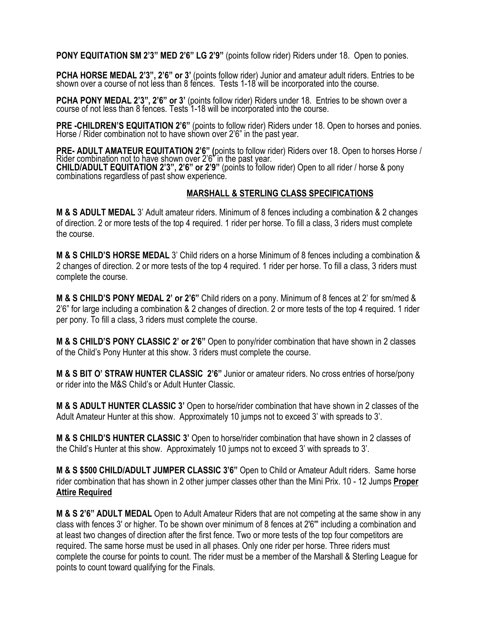**PONY EQUITATION SM 2'3" MED 2'6" LG 2'9"** (points follow rider) Riders under 18. Open to ponies.

**PCHA HORSE MEDAL 2'3", 2'6" or 3'** (points follow rider) Junior and amateur adult riders. Entries to be shown over a course of not less than 8 fences. Tests 1-18 will be incorporated into the course.

**PCHA PONY MEDAL 2'3", 2'6" or 3'** (points follow rider) Riders under 18. Entries to be shown over a course of not less than 8 fences. Tests 1-18 will be incorporated into the course.

**PRE -CHILDREN'S EQUITATION 2'6"** (points to follow rider) Riders under 18. Open to horses and ponies. Horse / Rider combination not to have shown over 2'6" in the past year.

**PRE- ADULT AMATEUR EQUITATION 2'6" (**points to follow rider) Riders over 18. Open to horses Horse / Rider combination not to have shown over 2'6" in the past year. **CHILD/ADULT EQUITATION 2'3", 2'6" or 2'9"** (points to follow rider) Open to all rider / horse & pony combinations regardless of past show experience.

#### **MARSHALL & STERLING CLASS SPECIFICATIONS**

**M & S ADULT MEDAL** 3' Adult amateur riders. Minimum of 8 fences including a combination & 2 changes of direction. 2 or more tests of the top 4 required. 1 rider per horse. To fill a class, 3 riders must complete the course.

**M & S CHILD'S HORSE MEDAL** 3' Child riders on a horse Minimum of 8 fences including a combination & 2 changes of direction. 2 or more tests of the top 4 required. 1 rider per horse. To fill a class, 3 riders must complete the course.

**M & S CHILD'S PONY MEDAL 2' or 2'6"** Child riders on a pony. Minimum of 8 fences at 2' for sm/med & 2'6" for large including a combination & 2 changes of direction. 2 or more tests of the top 4 required. 1 rider per pony. To fill a class, 3 riders must complete the course.

**M & S CHILD'S PONY CLASSIC 2' or 2'6"** Open to pony/rider combination that have shown in 2 classes of the Child's Pony Hunter at this show. 3 riders must complete the course.

**M & S BIT O' STRAW HUNTER CLASSIC 2'6"** Junior or amateur riders. No cross entries of horse/pony or rider into the M&S Child's or Adult Hunter Classic.

**M & S ADULT HUNTER CLASSIC 3'** Open to horse/rider combination that have shown in 2 classes of the Adult Amateur Hunter at this show. Approximately 10 jumps not to exceed 3' with spreads to 3'.

**M & S CHILD'S HUNTER CLASSIC 3'** Open to horse/rider combination that have shown in 2 classes of the Child's Hunter at this show. Approximately 10 jumps not to exceed 3' with spreads to 3'.

**M & S \$500 CHILD/ADULT JUMPER CLASSIC 3'6"** Open to Child or Amateur Adult riders. Same horse rider combination that has shown in 2 other jumper classes other than the Mini Prix. 10 - 12 Jumps **Proper Attire Required** 

**M & S 2'6" ADULT MEDAL** Open to Adult Amateur Riders that are not competing at the same show in any class with fences 3' or higher. To be shown over minimum of 8 fences at 2'6"' including a combination and at least two changes of direction after the first fence. Two or more tests of the top four competitors are required. The same horse must be used in all phases. Only one rider per horse. Three riders must complete the course for points to count. The rider must be a member of the Marshall & Sterling League for points to count toward qualifying for the Finals.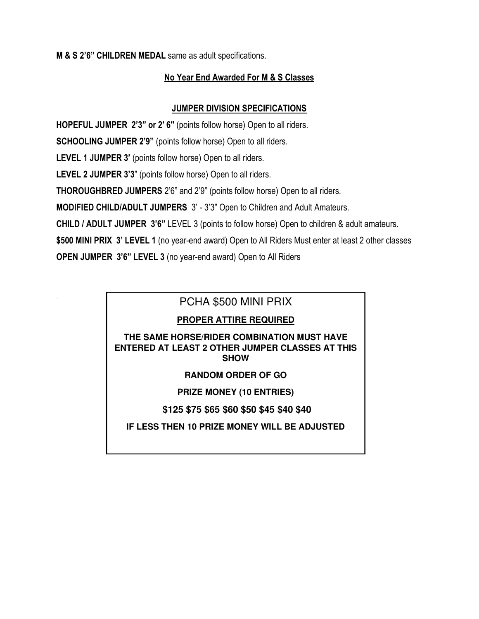#### **M & S 2'6" CHILDREN MEDAL** same as adult specifications.

.

#### **No Year End Awarded For M & S Classes**

#### **JUMPER DIVISION SPECIFICATIONS**

 **HOPEFUL JUMPER 2'3" or 2' 6"** (points follow horse) Open to all riders. **SCHOOLING JUMPER 2'9"** (points follow horse) Open to all riders. **LEVEL 1 JUMPER 3'** (points follow horse) Open to all riders. **LEVEL 2 JUMPER 3'3**" (points follow horse) Open to all riders. **THOROUGHBRED JUMPERS** 2'6" and 2'9" (points follow horse) Open to all riders. **MODIFIED CHILD/ADULT JUMPERS** 3' - 3'3" Open to Children and Adult Amateurs. **CHILD / ADULT JUMPER 3'6"** LEVEL 3 (points to follow horse) Open to children & adult amateurs. **\$500 MINI PRIX 3' LEVEL 1** (no year-end award) Open to All Riders Must enter at least 2 other classes **OPEN JUMPER 3'6" LEVEL 3** (no year-end award) Open to All Riders

### PCHA \$500 MINI PRIX

#### **PROPER ATTIRE REQUIRED**

. **ENTERED AT LEAST 2 OTHER JUMPER CLASSES AT THIS**  .<br>. **SHOW THE SAME HORSE/RIDER COMBINATION MUST HAVE** 

#### **RANDOM ORDER OF GO**

#### **PRIZE MONEY (10 ENTRIES)**

#### **\$125 \$75 \$65 \$60 \$50 \$45 \$40 \$40**

#### **IF LESS THEN 10 PRIZE MONEY WILL BE ADJUSTED**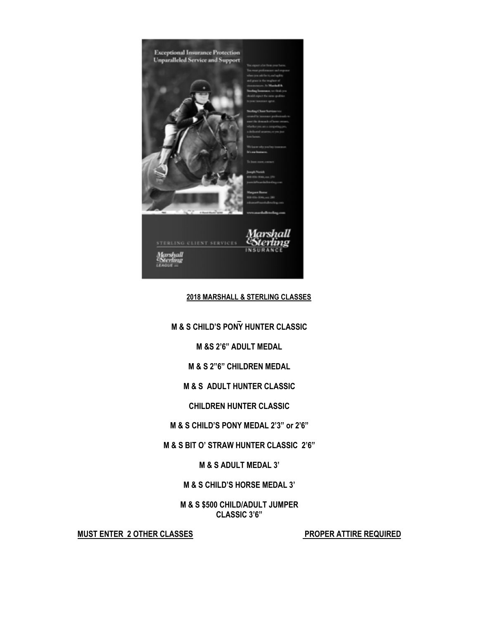

#### **2018 MARSHALL & STERLING CLASSES**

 **M & S CHILD'S PONY HUNTER CLASSIC** 

**M &S 2'6" ADULT MEDAL** 

**M & S 2"6" CHILDREN MEDAL** 

**M & S ADULT HUNTER CLASSIC** 

**CHILDREN HUNTER CLASSIC** 

**M & S CHILD'S PONY MEDAL 2'3" or 2'6"** 

**M & S BIT O' STRAW HUNTER CLASSIC 2'6"** 

**M & S ADULT MEDAL 3'** 

**M & S CHILD'S HORSE MEDAL 3'** 

**M & S \$500 CHILD/ADULT JUMPER CLASSIC 3'6"** 

MUST ENTER 2 OTHER CLASSES **PROPER ATTIRE REQUIRED**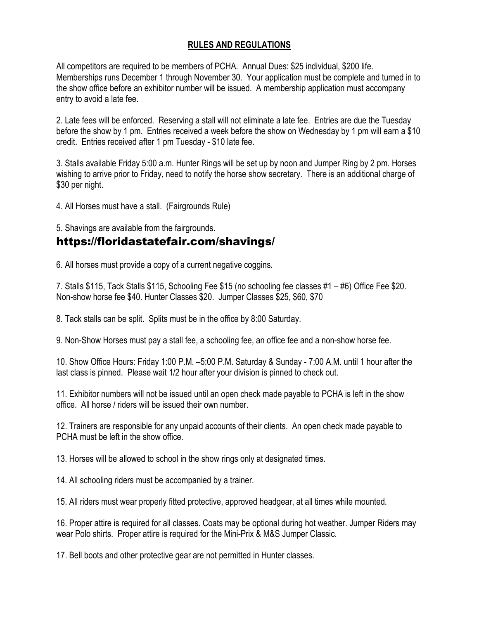#### **RULES AND REGULATIONS**

All competitors are required to be members of PCHA. Annual Dues: \$25 individual, \$200 life. Memberships runs December 1 through November 30. Your application must be complete and turned in to the show office before an exhibitor number will be issued. A membership application must accompany entry to avoid a late fee.

2. Late fees will be enforced. Reserving a stall will not eliminate a late fee. Entries are due the Tuesday before the show by 1 pm. Entries received a week before the show on Wednesday by 1 pm will earn a \$10 credit. Entries received after 1 pm Tuesday - \$10 late fee.

3. Stalls available Friday 5:00 a.m. Hunter Rings will be set up by noon and Jumper Ring by 2 pm. Horses wishing to arrive prior to Friday, need to notify the horse show secretary. There is an additional charge of \$30 per night.

4. All Horses must have a stall. (Fairgrounds Rule)

5. Shavings are available from the fairgrounds.

# https://floridastatefair.com/shavings/

6. All horses must provide a copy of a current negative coggins.

7. Stalls \$115, Tack Stalls \$115, Schooling Fee \$15 (no schooling fee classes #1 – #6) Office Fee \$20. Non-show horse fee \$40. Hunter Classes \$20. Jumper Classes \$25, \$60, \$70

8. Tack stalls can be split. Splits must be in the office by 8:00 Saturday.

9. Non-Show Horses must pay a stall fee, a schooling fee, an office fee and a non-show horse fee.

10. Show Office Hours: Friday 1:00 P.M. –5:00 P.M. Saturday & Sunday - 7:00 A.M. until 1 hour after the last class is pinned. Please wait 1/2 hour after your division is pinned to check out.

11. Exhibitor numbers will not be issued until an open check made payable to PCHA is left in the show office. All horse / riders will be issued their own number.

12. Trainers are responsible for any unpaid accounts of their clients. An open check made payable to PCHA must be left in the show office.

13. Horses will be allowed to school in the show rings only at designated times.

14. All schooling riders must be accompanied by a trainer.

15. All riders must wear properly fitted protective, approved headgear, at all times while mounted.

16. Proper attire is required for all classes. Coats may be optional during hot weather. Jumper Riders may wear Polo shirts. Proper attire is required for the Mini-Prix & M&S Jumper Classic.

17. Bell boots and other protective gear are not permitted in Hunter classes.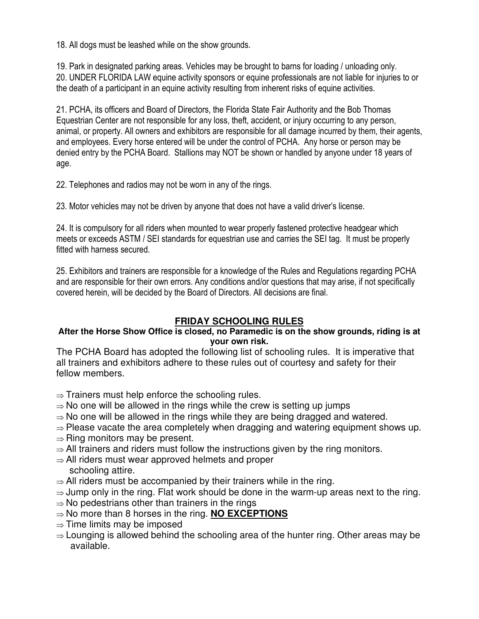18. All dogs must be leashed while on the show grounds.

19. Park in designated parking areas. Vehicles may be brought to barns for loading / unloading only. 20. UNDER FLORIDA LAW equine activity sponsors or equine professionals are not liable for injuries to or the death of a participant in an equine activity resulting from inherent risks of equine activities.

21. PCHA, its officers and Board of Directors, the Florida State Fair Authority and the Bob Thomas Equestrian Center are not responsible for any loss, theft, accident, or injury occurring to any person, animal, or property. All owners and exhibitors are responsible for all damage incurred by them, their agents, and employees. Every horse entered will be under the control of PCHA. Any horse or person may be denied entry by the PCHA Board. Stallions may NOT be shown or handled by anyone under 18 years of age.

22. Telephones and radios may not be worn in any of the rings.

23. Motor vehicles may not be driven by anyone that does not have a valid driver's license.

24. It is compulsory for all riders when mounted to wear properly fastened protective headgear which meets or exceeds ASTM / SEI standards for equestrian use and carries the SEI tag. It must be properly fitted with harness secured.

25. Exhibitors and trainers are responsible for a knowledge of the Rules and Regulations regarding PCHA and are responsible for their own errors. Any conditions and/or questions that may arise, if not specifically covered herein, will be decided by the Board of Directors. All decisions are final.

## **FRIDAY SCHOOLING RULES**

#### **After the Horse Show Office is closed, no Paramedic is on the show grounds, riding is at your own risk.**

The PCHA Board has adopted the following list of schooling rules. It is imperative that all trainers and exhibitors adhere to these rules out of courtesy and safety for their fellow members.

- $\Rightarrow$  Trainers must help enforce the schooling rules.
- $\Rightarrow$  No one will be allowed in the rings while the crew is setting up jumps
- $\Rightarrow$  No one will be allowed in the rings while they are being dragged and watered.
- $\Rightarrow$  Please vacate the area completely when dragging and watering equipment shows up.
- $\Rightarrow$  Ring monitors may be present.
- $\Rightarrow$  All trainers and riders must follow the instructions given by the ring monitors.
- $\Rightarrow$  All riders must wear approved helmets and proper schooling attire.
- $\Rightarrow$  All riders must be accompanied by their trainers while in the ring.
- $\Rightarrow$  Jump only in the ring. Flat work should be done in the warm-up areas next to the ring.
- $\Rightarrow$  No pedestrians other than trainers in the rings
- $\Rightarrow$  No more than 8 horses in the ring. **NO EXCEPTIONS**
- $\Rightarrow$  Time limits may be imposed
- $\Rightarrow$  Lounging is allowed behind the schooling area of the hunter ring. Other areas may be available.